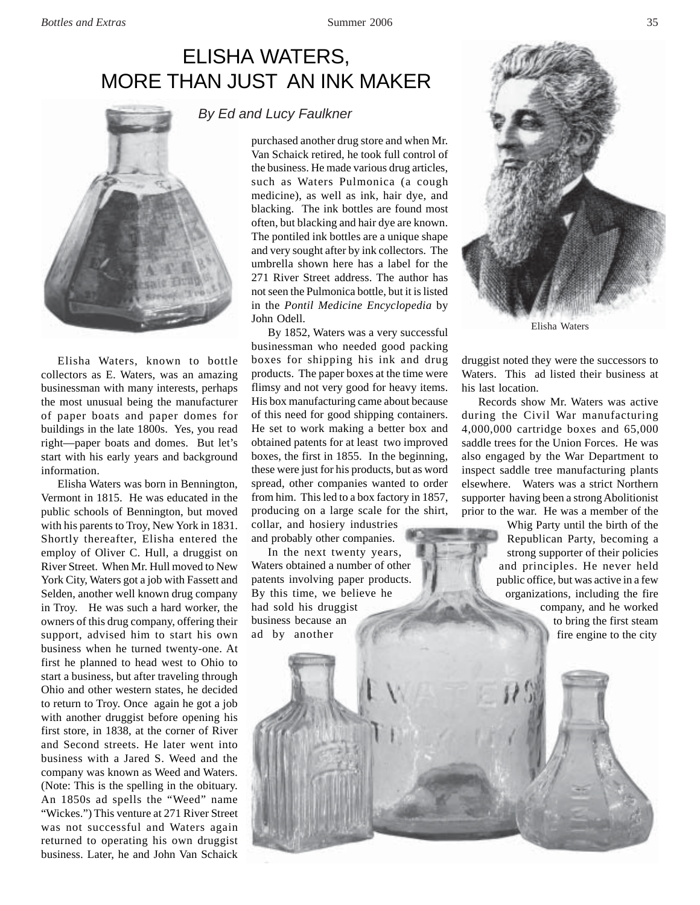## ELISHA WATERS, MORE THAN JUST AN INK MAKER



Elisha Waters, known to bottle collectors as E. Waters, was an amazing businessman with many interests, perhaps the most unusual being the manufacturer of paper boats and paper domes for buildings in the late 1800s. Yes, you read right—paper boats and domes. But let's start with his early years and background information.

Elisha Waters was born in Bennington, Vermont in 1815. He was educated in the public schools of Bennington, but moved with his parents to Troy, New York in 1831. Shortly thereafter, Elisha entered the employ of Oliver C. Hull, a druggist on River Street. When Mr. Hull moved to New York City, Waters got a job with Fassett and Selden, another well known drug company in Troy. He was such a hard worker, the owners of this drug company, offering their support, advised him to start his own business when he turned twenty-one. At first he planned to head west to Ohio to start a business, but after traveling through Ohio and other western states, he decided to return to Troy. Once again he got a job with another druggist before opening his first store, in 1838, at the corner of River and Second streets. He later went into business with a Jared S. Weed and the company was known as Weed and Waters. (Note: This is the spelling in the obituary. An 1850s ad spells the "Weed" name "Wickes.") This venture at 271 River Street was not successful and Waters again returned to operating his own druggist business. Later, he and John Van Schaick

## *By Ed and Lucy Faulkner*

purchased another drug store and when Mr. Van Schaick retired, he took full control of the business. He made various drug articles, such as Waters Pulmonica (a cough medicine), as well as ink, hair dye, and blacking. The ink bottles are found most often, but blacking and hair dye are known. The pontiled ink bottles are a unique shape and very sought after by ink collectors. The umbrella shown here has a label for the 271 River Street address. The author has not seen the Pulmonica bottle, but it is listed in the *Pontil Medicine Encyclopedia* by John Odell.

By 1852, Waters was a very successful businessman who needed good packing boxes for shipping his ink and drug products. The paper boxes at the time were flimsy and not very good for heavy items. His box manufacturing came about because of this need for good shipping containers. He set to work making a better box and obtained patents for at least two improved boxes, the first in 1855. In the beginning, these were just for his products, but as word spread, other companies wanted to order from him. This led to a box factory in 1857, producing on a large scale for the shirt, collar, and hosiery industries and probably other companies.

In the next twenty years, Waters obtained a number of other patents involving paper products. By this time, we believe he had sold his druggist business because an ad by another



Elisha Waters

druggist noted they were the successors to Waters. This ad listed their business at his last location.

Records show Mr. Waters was active during the Civil War manufacturing 4,000,000 cartridge boxes and 65,000 saddle trees for the Union Forces. He was also engaged by the War Department to inspect saddle tree manufacturing plants elsewhere. Waters was a strict Northern supporter having been a strong Abolitionist prior to the war. He was a member of the

> Whig Party until the birth of the Republican Party, becoming a strong supporter of their policies and principles. He never held public office, but was active in a few organizations, including the fire company, and he worked to bring the first steam fire engine to the city

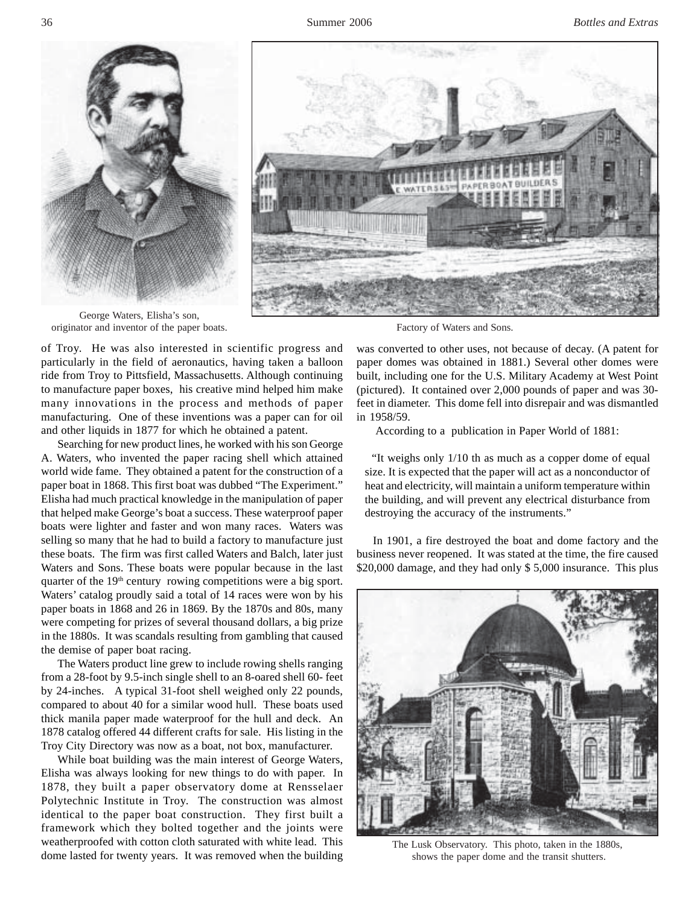



George Waters, Elisha's son, originator and inventor of the paper boats. Factory of Waters and Sons.

of Troy. He was also interested in scientific progress and particularly in the field of aeronautics, having taken a balloon ride from Troy to Pittsfield, Massachusetts. Although continuing to manufacture paper boxes, his creative mind helped him make many innovations in the process and methods of paper manufacturing. One of these inventions was a paper can for oil and other liquids in 1877 for which he obtained a patent.

Searching for new product lines, he worked with his son George A. Waters, who invented the paper racing shell which attained world wide fame. They obtained a patent for the construction of a paper boat in 1868. This first boat was dubbed "The Experiment." Elisha had much practical knowledge in the manipulation of paper that helped make George's boat a success. These waterproof paper boats were lighter and faster and won many races. Waters was selling so many that he had to build a factory to manufacture just these boats. The firm was first called Waters and Balch, later just Waters and Sons. These boats were popular because in the last quarter of the  $19<sup>th</sup>$  century rowing competitions were a big sport. Waters' catalog proudly said a total of 14 races were won by his paper boats in 1868 and 26 in 1869. By the 1870s and 80s, many were competing for prizes of several thousand dollars, a big prize in the 1880s. It was scandals resulting from gambling that caused the demise of paper boat racing.

The Waters product line grew to include rowing shells ranging from a 28-foot by 9.5-inch single shell to an 8-oared shell 60- feet by 24-inches. A typical 31-foot shell weighed only 22 pounds, compared to about 40 for a similar wood hull. These boats used thick manila paper made waterproof for the hull and deck. An 1878 catalog offered 44 different crafts for sale. His listing in the Troy City Directory was now as a boat, not box, manufacturer.

While boat building was the main interest of George Waters, Elisha was always looking for new things to do with paper. In 1878, they built a paper observatory dome at Rensselaer Polytechnic Institute in Troy. The construction was almost identical to the paper boat construction. They first built a framework which they bolted together and the joints were weatherproofed with cotton cloth saturated with white lead. This dome lasted for twenty years. It was removed when the building

was converted to other uses, not because of decay. (A patent for paper domes was obtained in 1881.) Several other domes were built, including one for the U.S. Military Academy at West Point (pictured). It contained over 2,000 pounds of paper and was 30 feet in diameter. This dome fell into disrepair and was dismantled in 1958/59.

According to a publication in Paper World of 1881:

 "It weighs only 1/10 th as much as a copper dome of equal size. It is expected that the paper will act as a nonconductor of heat and electricity, will maintain a uniform temperature within the building, and will prevent any electrical disturbance from destroying the accuracy of the instruments."

In 1901, a fire destroyed the boat and dome factory and the business never reopened. It was stated at the time, the fire caused \$20,000 damage, and they had only \$ 5,000 insurance. This plus



The Lusk Observatory. This photo, taken in the 1880s, shows the paper dome and the transit shutters.